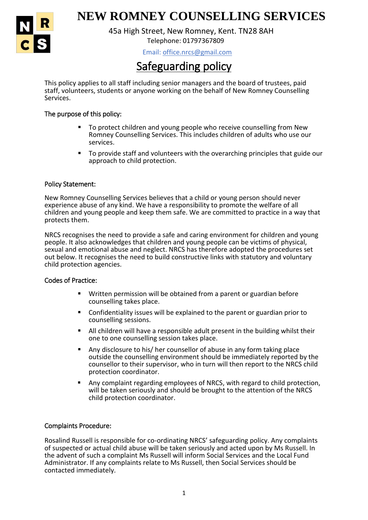

# 1 **NEW ROMNEY COUNSELLING SERVICES**

Telephone: 01797367809 45a High Street, New Romney, Kent. TN28 8AH

Email: office.nrcs@gmail.com

## Safeguarding policy

This policy applies to all staff including senior managers and the board of trustees, paid staff, volunteers, students or anyone working on the behalf of New Romney Counselling Services.

### The purpose of this policy:

- To protect children and young people who receive counselling from New Romney Counselling Services. This includes children of adults who use our services.
- To provide staff and volunteers with the overarching principles that guide our approach to child protection.

#### Policy Statement:

New Romney Counselling Services believes that a child or young person should never experience abuse of any kind. We have a responsibility to promote the welfare of all children and young people and keep them safe. We are committed to practice in a way that protects them.

NRCS recognises the need to provide a safe and caring environment for children and young people. It also acknowledges that children and young people can be victims of physical, sexual and emotional abuse and neglect. NRCS has therefore adopted the procedures set out below. It recognises the need to build constructive links with statutory and voluntary child protection agencies.

#### Codes of Practice:

- Written permission will be obtained from a parent or guardian before counselling takes place.
- Confidentiality issues will be explained to the parent or guardian prior to counselling sessions.
- All children will have a responsible adult present in the building whilst their one to one counselling session takes place.
- Any disclosure to his/ her counsellor of abuse in any form taking place outside the counselling environment should be immediately reported by the counsellor to their supervisor, who in turn will then report to the NRCS child protection coordinator.
- Any complaint regarding employees of NRCS, with regard to child protection, will be taken seriously and should be brought to the attention of the NRCS child protection coordinator.

#### Complaints Procedure:

Rosalind Russell is responsible for co-ordinating NRCS' safeguarding policy. Any complaints of suspected or actual child abuse will be taken seriously and acted upon by Ms Russell. In the advent of such a complaint Ms Russell will inform Social Services and the Local Fund Administrator. If any complaints relate to Ms Russell, then Social Services should be contacted immediately.